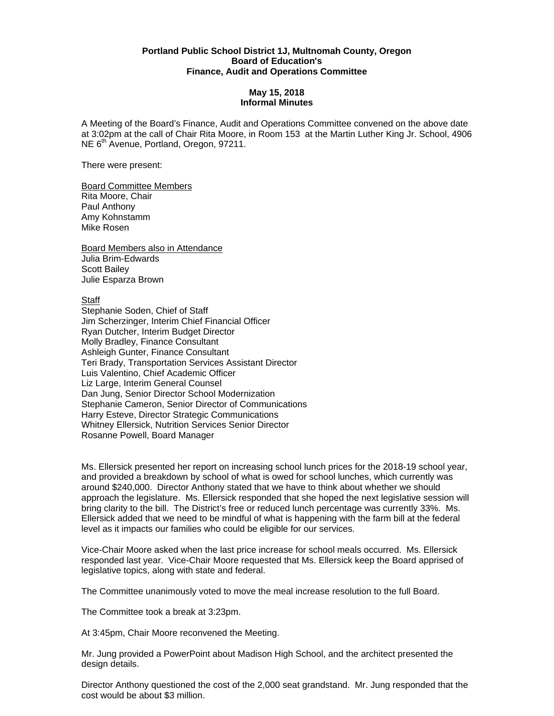## **Portland Public School District 1J, Multnomah County, Oregon Board of Education's Finance, Audit and Operations Committee**

## **May 15, 2018 Informal Minutes**

A Meeting of the Board's Finance, Audit and Operations Committee convened on the above date at 3:02pm at the call of Chair Rita Moore, in Room 153 at the Martin Luther King Jr. School, 4906 NE 6<sup>th</sup> Avenue, Portland, Oregon, 97211.

There were present:

Board Committee Members Rita Moore, Chair Paul Anthony Amy Kohnstamm Mike Rosen

Board Members also in Attendance Julia Brim-Edwards Scott Bailey Julie Esparza Brown

Staff

Stephanie Soden, Chief of Staff Jim Scherzinger, Interim Chief Financial Officer Ryan Dutcher, Interim Budget Director Molly Bradley, Finance Consultant Ashleigh Gunter, Finance Consultant Teri Brady, Transportation Services Assistant Director Luis Valentino, Chief Academic Officer Liz Large, Interim General Counsel Dan Jung, Senior Director School Modernization Stephanie Cameron, Senior Director of Communications Harry Esteve, Director Strategic Communications Whitney Ellersick, Nutrition Services Senior Director Rosanne Powell, Board Manager

Ms. Ellersick presented her report on increasing school lunch prices for the 2018-19 school year, and provided a breakdown by school of what is owed for school lunches, which currently was around \$240,000. Director Anthony stated that we have to think about whether we should approach the legislature. Ms. Ellersick responded that she hoped the next legislative session will bring clarity to the bill. The District's free or reduced lunch percentage was currently 33%. Ms. Ellersick added that we need to be mindful of what is happening with the farm bill at the federal level as it impacts our families who could be eligible for our services.

Vice-Chair Moore asked when the last price increase for school meals occurred. Ms. Ellersick responded last year. Vice-Chair Moore requested that Ms. Ellersick keep the Board apprised of legislative topics, along with state and federal.

The Committee unanimously voted to move the meal increase resolution to the full Board.

The Committee took a break at 3:23pm.

At 3:45pm, Chair Moore reconvened the Meeting.

Mr. Jung provided a PowerPoint about Madison High School, and the architect presented the design details.

Director Anthony questioned the cost of the 2,000 seat grandstand. Mr. Jung responded that the cost would be about \$3 million.